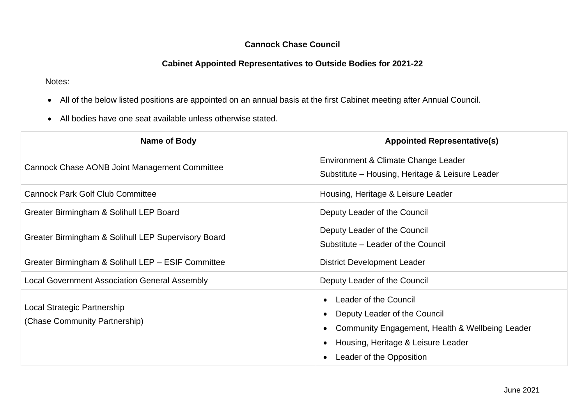## **Cannock Chase Council**

## **Cabinet Appointed Representatives to Outside Bodies for 2021-22**

Notes:

- All of the below listed positions are appointed on an annual basis at the first Cabinet meeting after Annual Council.
- All bodies have one seat available unless otherwise stated.

| Name of Body                                                 | <b>Appointed Representative(s)</b>                                                                                                                                         |
|--------------------------------------------------------------|----------------------------------------------------------------------------------------------------------------------------------------------------------------------------|
| Cannock Chase AONB Joint Management Committee                | Environment & Climate Change Leader<br>Substitute – Housing, Heritage & Leisure Leader                                                                                     |
| <b>Cannock Park Golf Club Committee</b>                      | Housing, Heritage & Leisure Leader                                                                                                                                         |
| Greater Birmingham & Solihull LEP Board                      | Deputy Leader of the Council                                                                                                                                               |
| Greater Birmingham & Solihull LEP Supervisory Board          | Deputy Leader of the Council<br>Substitute – Leader of the Council                                                                                                         |
| Greater Birmingham & Solihull LEP - ESIF Committee           | <b>District Development Leader</b>                                                                                                                                         |
| <b>Local Government Association General Assembly</b>         | Deputy Leader of the Council                                                                                                                                               |
| Local Strategic Partnership<br>(Chase Community Partnership) | Leader of the Council<br>Deputy Leader of the Council<br>Community Engagement, Health & Wellbeing Leader<br>Housing, Heritage & Leisure Leader<br>Leader of the Opposition |